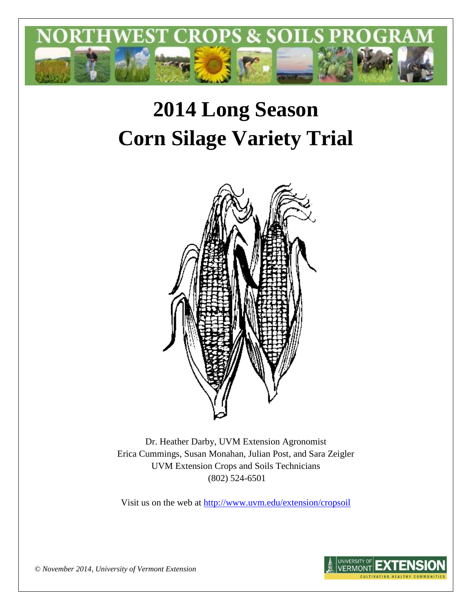

# **2014 Long Season Corn Silage Variety Trial**



Dr. Heather Darby, UVM Extension Agronomist Erica Cummings, Susan Monahan, Julian Post, and Sara Zeigler UVM Extension Crops and Soils Technicians (802) 524-6501

Visit us on the web at <http://www.uvm.edu/extension/cropsoil>



*© November 2014, University of Vermont Extension*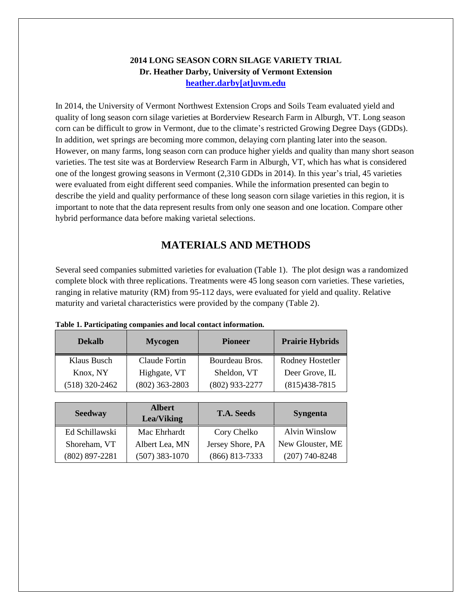#### **2014 LONG SEASON CORN SILAGE VARIETY TRIAL Dr. Heather Darby, University of Vermont Extension [heather.darby\[at\]uvm.edu](mailto:heather.darby@uvm.edu?subject=2013%20Long%20Season%20Corn%20Report)**

In 2014, the University of Vermont Northwest Extension Crops and Soils Team evaluated yield and quality of long season corn silage varieties at Borderview Research Farm in Alburgh, VT. Long season corn can be difficult to grow in Vermont, due to the climate's restricted Growing Degree Days (GDDs). In addition, wet springs are becoming more common, delaying corn planting later into the season. However, on many farms, long season corn can produce higher yields and quality than many short season varieties. The test site was at Borderview Research Farm in Alburgh, VT, which has what is considered one of the longest growing seasons in Vermont (2,310 GDDs in 2014). In this year's trial, 45 varieties were evaluated from eight different seed companies. While the information presented can begin to describe the yield and quality performance of these long season corn silage varieties in this region, it is important to note that the data represent results from only one season and one location. Compare other hybrid performance data before making varietal selections.

## **MATERIALS AND METHODS**

Several seed companies submitted varieties for evaluation (Table 1). The plot design was a randomized complete block with three replications. Treatments were 45 long season corn varieties. These varieties, ranging in relative maturity (RM) from 95-112 days, were evaluated for yield and quality. Relative maturity and varietal characteristics were provided by the company (Table 2).

| Tubic 1. I al deipadug companies and local contact information. |                                  |                |                        |  |  |  |  |  |
|-----------------------------------------------------------------|----------------------------------|----------------|------------------------|--|--|--|--|--|
| <b>Dekalb</b>                                                   | <b>Pioneer</b><br><b>Mycogen</b> |                | <b>Prairie Hybrids</b> |  |  |  |  |  |
| Klaus Busch                                                     | Claude Fortin                    | Bourdeau Bros. | Rodney Hostetler       |  |  |  |  |  |
| Knox, NY                                                        | Highgate, VT                     | Sheldon, VT    | Deer Grove, IL         |  |  |  |  |  |
| $(518)$ 320-2462                                                | $(802)$ 363-2803                 | (802) 933-2277 | $(815)438-7815$        |  |  |  |  |  |

|  | Table 1. Participating companies and local contact information. |  |
|--|-----------------------------------------------------------------|--|
|  |                                                                 |  |

| <b>Seedway</b>     | <b>Albert</b><br><b>Lea/Viking</b> | <b>T.A. Seeds</b>  | <b>Syngenta</b>      |
|--------------------|------------------------------------|--------------------|----------------------|
| Ed Schillawski     | Mac Ehrhardt                       | Cory Chelko        | <b>Alvin Winslow</b> |
| Shoreham, VT       | Albert Lea, MN                     | Jersey Shore, PA   | New Glouster, ME     |
| $(802) 897 - 2281$ | $(507)$ 383-1070                   | $(866) 813 - 7333$ | $(207) 740 - 8248$   |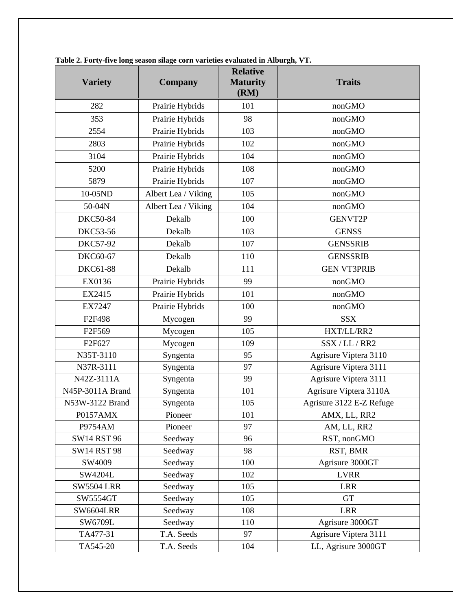| <b>Variety</b>     | <b>Company</b>      | <b>Relative</b><br><b>Maturity</b><br>(RM) | <b>Traits</b>            |
|--------------------|---------------------|--------------------------------------------|--------------------------|
| 282                | Prairie Hybrids     | 101                                        | nonGMO                   |
| 353                | Prairie Hybrids     | 98                                         | nonGMO                   |
| 2554               | Prairie Hybrids     | 103                                        | nonGMO                   |
| 2803               | Prairie Hybrids     | 102                                        | nonGMO                   |
| 3104               | Prairie Hybrids     | 104                                        | nonGMO                   |
| 5200               | Prairie Hybrids     | 108                                        | nonGMO                   |
| 5879               | Prairie Hybrids     | 107                                        | nonGMO                   |
| 10-05ND            | Albert Lea / Viking | 105                                        | nonGMO                   |
| 50-04N             | Albert Lea / Viking | 104                                        | nonGMO                   |
| <b>DKC50-84</b>    | Dekalb              | 100                                        | <b>GENVT2P</b>           |
| DKC53-56           | Dekalb              | 103                                        | <b>GENSS</b>             |
| <b>DKC57-92</b>    | Dekalb              | 107                                        | <b>GENSSRIB</b>          |
| DKC60-67           | Dekalb              | 110                                        | <b>GENSSRIB</b>          |
| DKC61-88           | Dekalb              | 111                                        | <b>GEN VT3PRIB</b>       |
| EX0136             | Prairie Hybrids     | 99                                         | nonGMO                   |
| EX2415             | Prairie Hybrids     | 101                                        | nonGMO                   |
| <b>EX7247</b>      | Prairie Hybrids     | 100                                        | nonGMO                   |
| F2F498             | Mycogen             | 99                                         | <b>SSX</b>               |
| F2F569             | Mycogen             | 105                                        | HXT/LL/RR2               |
| F2F627             | Mycogen             | 109                                        | SSX / LL / RR2           |
| N35T-3110          | Syngenta            | 95                                         | Agrisure Viptera 3110    |
| N37R-3111          | Syngenta            | 97                                         | Agrisure Viptera 3111    |
| N42Z-3111A         | Syngenta            | 99                                         | Agrisure Viptera 3111    |
| N45P-3011A Brand   | Syngenta            | 101                                        | Agrisure Viptera 3110A   |
| N53W-3122 Brand    | Syngenta            | 105                                        | Agrisure 3122 E-Z Refuge |
| P0157AMX           | Pioneer             | 101                                        | AMX, LL, RR2             |
| P9754AM            | Pioneer             | 97                                         | AM, LL, RR2              |
| <b>SW14 RST 96</b> | Seedway             | 96                                         | RST, nonGMO              |
| <b>SW14 RST 98</b> | Seedway             | 98                                         | RST, BMR                 |
| SW4009             | Seedway             | 100                                        | Agrisure 3000GT          |
| SW4204L            | Seedway             | 102                                        | <b>LVRR</b>              |
| <b>SW5504 LRR</b>  | Seedway             | 105                                        | <b>LRR</b>               |
| SW5554GT           | Seedway             | 105                                        | <b>GT</b>                |
| <b>SW6604LRR</b>   | Seedway             | 108                                        | <b>LRR</b>               |
| SW6709L            | Seedway             | 110                                        | Agrisure 3000GT          |
| TA477-31           | T.A. Seeds          | 97                                         | Agrisure Viptera 3111    |
| TA545-20           | T.A. Seeds          | 104                                        | LL, Agrisure 3000GT      |

**Table 2. Forty-five long season silage corn varieties evaluated in Alburgh, VT.**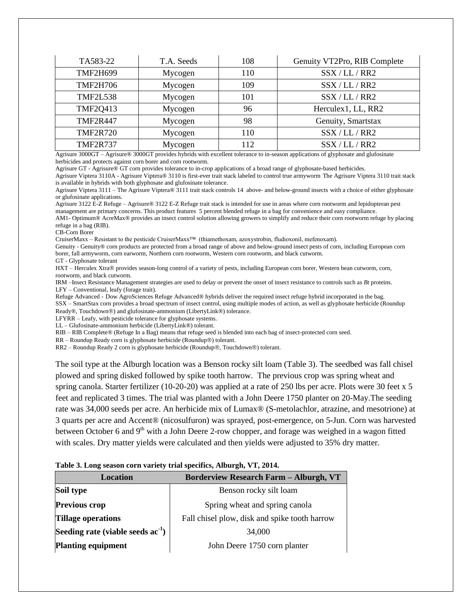| TA583-22        | T.A. Seeds | 108 | Genuity VT2Pro, RIB Complete |
|-----------------|------------|-----|------------------------------|
| <b>TMF2H699</b> | Mycogen    | 110 | SSX / LL / RR2               |
| <b>TMF2H706</b> | Mycogen    | 109 | SSX / LL / RR2               |
| <b>TMF2L538</b> | Mycogen    | 101 | SSX / LL / RR2               |
| <b>TMF2Q413</b> | Mycogen    | 96  | Herculex1, LL, RR2           |
| <b>TMF2R447</b> | Mycogen    | 98  | Genuity, Smartstax           |
| <b>TMF2R720</b> | Mycogen    | 110 | SSX / LL / RR2               |
| <b>TMF2R737</b> | Mycogen    | 112 | SSX / LL / RR2               |

Agrisure 3000GT – Agrisure® 3000GT provides hybrids with excellent tolerance to in-season applications of glyphosate and glufosinate herbicides and protects against corn borer and corn rootworm.

Agrisure GT - Agrisure® GT corn provides tolerance to in-crop applications of a broad range of glyphosate-based herbicides.

Agrisure Viptera 3110A - Agrisure Viptera® 3110 is first-ever trait stack labeled to control true armyworm The Agrisure Viptera 3110 trait stack is available in hybrids with both glyphosate and glufosinate tolerance.

Agrisure Viptera 3111 – The Agrisure Viptera® 3111 trait stack controls 14 above- and below-ground insects with a choice of either glyphosate or glufosinate applications.

Agrisure 3122 E-Z Refuge – Agrisure® 3122 E-Z Refuge trait stack is intended for use in areas where corn rootworm and lepidopteran pest management are primary concerns. This product features 5 percent blended refuge in a bag for convenience and easy compliance. AM1- Optimum® AcreMax® provides an insect control solution allowing growers to simplify and reduce their corn rootworm refuge by placing

refuge in a bag (RIB).

CB-Corn Borer

CruiserMaxx – Resistant to the pesticide CruiserMaxx™ (thiamethoxam, azoxystrobin, fludioxonil, mefenoxam).

Genuity - Genuity® corn products are protected from a broad range of above and below-ground insect pests of corn, including European corn borer, fall armyworm, corn earworm, Northern corn rootworm, Western corn rootworm, and black cutworm.

GT - Glyphosate tolerant

HXT – Herculex Xtra® provides season-long control of a variety of pests, including European corn borer, Western bean cutworm, corn, rootworm, and black cutworm.

IRM –Insect Resistance Management strategies are used to delay or prevent the onset of insect resistance to controls such as *Bt* proteins. LFY – Conventional, leafy (forage trait).

Refuge Advanced - Dow AgroSciences Refuge Advanced® hybrids deliver the required insect refuge hybrid incorporated in the bag. SSX – SmartStax corn provides a broad spectrum of insect control, using multiple modes of action, as well as glyphosate herbicide (Roundup Ready®, Touchdown®) and glufosinate-ammonium (LibertyLink®) tolerance.

LFYRR – Leafy, with pesticide tolerance for glyphosate systems.

LL – Glufosinate-ammonium herbicide (LibertyLink®) tolerant.

RIB – RIB Complete® (Refuge In a Bag) means that refuge seed is blended into each bag of insect-protected corn seed.

RR – Roundup Ready corn is glyphosate herbicide (Roundup®) tolerant.

RR2 – Roundup Ready 2 corn is glyphosate herbicide (Roundup®, Touchdown®) tolerant.

The soil type at the Alburgh location was a Benson rocky silt loam (Table 3). The seedbed was fall chisel plowed and spring disked followed by spike tooth harrow. The previous crop was spring wheat and spring canola. Starter fertilizer (10-20-20) was applied at a rate of 250 lbs per acre. Plots were 30 feet x 5 feet and replicated 3 times. The trial was planted with a John Deere 1750 planter on 20-May.The seeding rate was 34,000 seeds per acre. An herbicide mix of Lumax® (S-metolachlor, atrazine, and mesotrione) at 3 quarts per acre and Accent® (nicosulfuron) was sprayed, post-emergence, on 5-Jun. Corn was harvested between October 6 and  $9<sup>th</sup>$  with a John Deere 2-row chopper, and forage was weighed in a wagon fitted with scales. Dry matter yields were calculated and then yields were adjusted to 35% dry matter.

#### **Table 3. Long season corn variety trial specifics, Alburgh, VT, 2014.**

| <b>Location</b>                        | <b>Borderview Research Farm - Alburgh, VT</b> |  |  |  |  |
|----------------------------------------|-----------------------------------------------|--|--|--|--|
| Soil type                              | Benson rocky silt loam                        |  |  |  |  |
| <b>Previous crop</b>                   | Spring wheat and spring canola                |  |  |  |  |
| <b>Tillage operations</b>              | Fall chisel plow, disk and spike tooth harrow |  |  |  |  |
| Seeding rate (viable seeds $ac^{-1}$ ) | 34,000                                        |  |  |  |  |
| <b>Planting equipment</b>              | John Deere 1750 corn planter                  |  |  |  |  |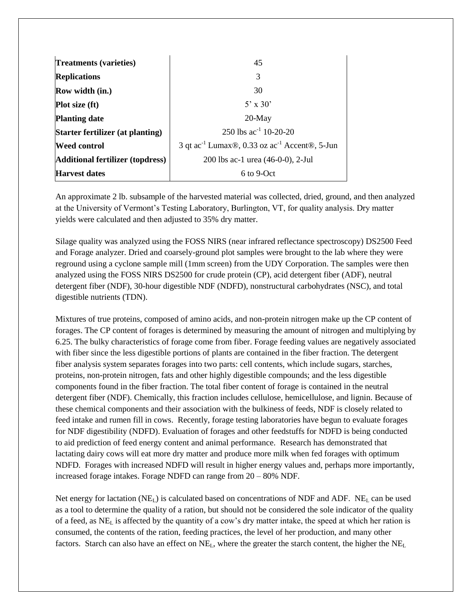| <b>Treatments (varieties)</b>           | 45                                                                                              |
|-----------------------------------------|-------------------------------------------------------------------------------------------------|
| <b>Replications</b>                     | 3                                                                                               |
| <b>Row width (in.)</b>                  | 30                                                                                              |
| <b>Plot size (ft)</b>                   | $5'$ x 30'                                                                                      |
| <b>Planting date</b>                    | $20$ -May                                                                                       |
| Starter fertilizer (at planting)        | 250 lbs $ac^{-1}$ 10-20-20                                                                      |
| <b>Weed control</b>                     | 3 qt ac <sup>-1</sup> Lumax <sup>®</sup> , 0.33 oz ac <sup>-1</sup> Accent <sup>®</sup> , 5-Jun |
| <b>Additional fertilizer (topdress)</b> | 200 lbs ac-1 urea (46-0-0), 2-Jul                                                               |
| <b>Harvest dates</b>                    | $6$ to 9-Oct                                                                                    |

An approximate 2 lb. subsample of the harvested material was collected, dried, ground, and then analyzed at the University of Vermont's Testing Laboratory, Burlington, VT, for quality analysis. Dry matter yields were calculated and then adjusted to 35% dry matter.

Silage quality was analyzed using the FOSS NIRS (near infrared reflectance spectroscopy) DS2500 Feed and Forage analyzer. Dried and coarsely-ground plot samples were brought to the lab where they were reground using a cyclone sample mill (1mm screen) from the UDY Corporation. The samples were then analyzed using the FOSS NIRS DS2500 for crude protein (CP), acid detergent fiber (ADF), neutral detergent fiber (NDF), 30-hour digestible NDF (NDFD), nonstructural carbohydrates (NSC), and total digestible nutrients (TDN).

Mixtures of true proteins, composed of amino acids, and non-protein nitrogen make up the CP content of forages. The CP content of forages is determined by measuring the amount of nitrogen and multiplying by 6.25. The bulky characteristics of forage come from fiber. Forage feeding values are negatively associated with fiber since the less digestible portions of plants are contained in the fiber fraction. The detergent fiber analysis system separates forages into two parts: cell contents, which include sugars, starches, proteins, non-protein nitrogen, fats and other highly digestible compounds; and the less digestible components found in the fiber fraction. The total fiber content of forage is contained in the neutral detergent fiber (NDF). Chemically, this fraction includes cellulose, hemicellulose, and lignin. Because of these chemical components and their association with the bulkiness of feeds, NDF is closely related to feed intake and rumen fill in cows. Recently, forage testing laboratories have begun to evaluate forages for NDF digestibility (NDFD). Evaluation of forages and other feedstuffs for NDFD is being conducted to aid prediction of feed energy content and animal performance. Research has demonstrated that lactating dairy cows will eat more dry matter and produce more milk when fed forages with optimum NDFD. Forages with increased NDFD will result in higher energy values and, perhaps more importantly, increased forage intakes. Forage NDFD can range from 20 – 80% NDF.

Net energy for lactation  $(NE_L)$  is calculated based on concentrations of NDF and ADF.  $NE_L$  can be used as a tool to determine the quality of a ration, but should not be considered the sole indicator of the quality of a feed, as NE<sup>L</sup> is affected by the quantity of a cow's dry matter intake, the speed at which her ration is consumed, the contents of the ration, feeding practices, the level of her production, and many other factors. Starch can also have an effect on  $NE<sub>L</sub>$ , where the greater the starch content, the higher the  $NE<sub>L</sub>$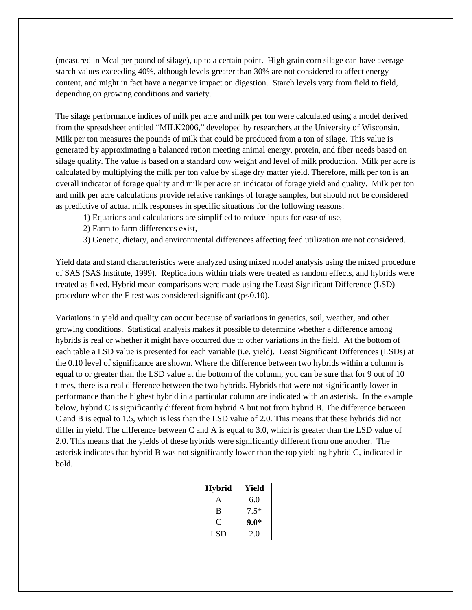(measured in Mcal per pound of silage), up to a certain point. High grain corn silage can have average starch values exceeding 40%, although levels greater than 30% are not considered to affect energy content, and might in fact have a negative impact on digestion. Starch levels vary from field to field, depending on growing conditions and variety.

The silage performance indices of milk per acre and milk per ton were calculated using a model derived from the spreadsheet entitled "MILK2006," developed by researchers at the University of Wisconsin. Milk per ton measures the pounds of milk that could be produced from a ton of silage. This value is generated by approximating a balanced ration meeting animal energy, protein, and fiber needs based on silage quality. The value is based on a standard cow weight and level of milk production. Milk per acre is calculated by multiplying the milk per ton value by silage dry matter yield. Therefore, milk per ton is an overall indicator of forage quality and milk per acre an indicator of forage yield and quality. Milk per ton and milk per acre calculations provide relative rankings of forage samples, but should not be considered as predictive of actual milk responses in specific situations for the following reasons:

- 1) Equations and calculations are simplified to reduce inputs for ease of use,
- 2) Farm to farm differences exist,
- 3) Genetic, dietary, and environmental differences affecting feed utilization are not considered.

Yield data and stand characteristics were analyzed using mixed model analysis using the mixed procedure of SAS (SAS Institute, 1999). Replications within trials were treated as random effects, and hybrids were treated as fixed. Hybrid mean comparisons were made using the Least Significant Difference (LSD) procedure when the F-test was considered significant  $(p<0.10)$ .

Variations in yield and quality can occur because of variations in genetics, soil, weather, and other growing conditions. Statistical analysis makes it possible to determine whether a difference among hybrids is real or whether it might have occurred due to other variations in the field. At the bottom of each table a LSD value is presented for each variable (i.e. yield). Least Significant Differences (LSDs) at the 0.10 level of significance are shown. Where the difference between two hybrids within a column is equal to or greater than the LSD value at the bottom of the column, you can be sure that for 9 out of 10 times, there is a real difference between the two hybrids. Hybrids that were not significantly lower in performance than the highest hybrid in a particular column are indicated with an asterisk. In the example below, hybrid C is significantly different from hybrid A but not from hybrid B. The difference between C and B is equal to 1.5, which is less than the LSD value of 2.0. This means that these hybrids did not differ in yield. The difference between C and A is equal to 3.0, which is greater than the LSD value of 2.0. This means that the yields of these hybrids were significantly different from one another. The asterisk indicates that hybrid B was not significantly lower than the top yielding hybrid C, indicated in bold.

| <b>Hybrid</b> | Yield  |
|---------------|--------|
| A             | 6.0    |
| B             | $7.5*$ |
| C             | $9.0*$ |
| LSD           | 2.0    |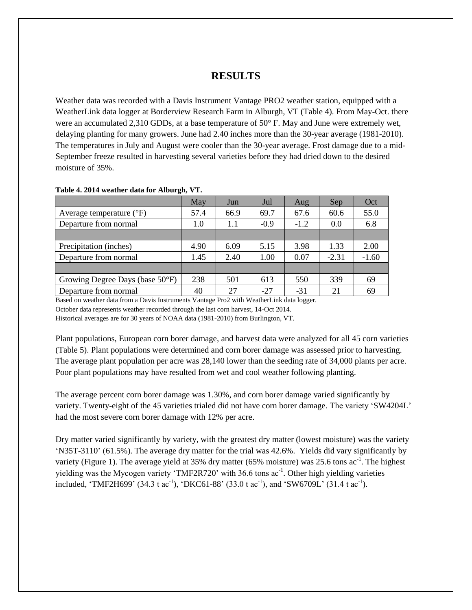## **RESULTS**

Weather data was recorded with a Davis Instrument Vantage PRO2 weather station, equipped with a WeatherLink data logger at Borderview Research Farm in Alburgh, VT (Table 4). From May-Oct. there were an accumulated 2,310 GDDs, at a base temperature of 50° F. May and June were extremely wet, delaying planting for many growers. June had 2.40 inches more than the 30-year average (1981-2010). The temperatures in July and August were cooler than the 30-year average. Frost damage due to a mid-September freeze resulted in harvesting several varieties before they had dried down to the desired moisture of 35%.

|                                     | May  | Jun  | Jul    | Aug    | Sep     | Oct     |
|-------------------------------------|------|------|--------|--------|---------|---------|
| Average temperature $({}^{\circ}F)$ | 57.4 | 66.9 | 69.7   | 67.6   | 60.6    | 55.0    |
| Departure from normal               | 1.0  | 1.1  | $-0.9$ | $-1.2$ | 0.0     | 6.8     |
|                                     |      |      |        |        |         |         |
| Precipitation (inches)              | 4.90 | 6.09 | 5.15   | 3.98   | 1.33    | 2.00    |
| Departure from normal               | 1.45 | 2.40 | 1.00   | 0.07   | $-2.31$ | $-1.60$ |
|                                     |      |      |        |        |         |         |
| Growing Degree Days (base 50°F)     | 238  | 501  | 613    | 550    | 339     | 69      |
| Departure from normal               | 40   | 27   | $-27$  | $-31$  | 21      | 69      |

#### **Table 4. 2014 weather data for Alburgh, VT.**

Based on weather data from a Davis Instruments Vantage Pro2 with WeatherLink data logger.

October data represents weather recorded through the last corn harvest, 14-Oct 2014.

Historical averages are for 30 years of NOAA data (1981-2010) from Burlington, VT.

Plant populations, European corn borer damage, and harvest data were analyzed for all 45 corn varieties (Table 5). Plant populations were determined and corn borer damage was assessed prior to harvesting. The average plant population per acre was 28,140 lower than the seeding rate of 34,000 plants per acre. Poor plant populations may have resulted from wet and cool weather following planting.

The average percent corn borer damage was 1.30%, and corn borer damage varied significantly by variety. Twenty-eight of the 45 varieties trialed did not have corn borer damage. The variety 'SW4204L' had the most severe corn borer damage with 12% per acre.

Dry matter varied significantly by variety, with the greatest dry matter (lowest moisture) was the variety 'N35T-3110' (61.5%). The average dry matter for the trial was 42.6%. Yields did vary significantly by variety (Figure 1). The average yield at 35% dry matter (65% moisture) was 25.6 tons  $ac^{-1}$ . The highest yielding was the Mycogen variety 'TMF2R720' with 36.6 tons ac<sup>-1</sup>. Other high yielding varieties included, 'TMF2H699' (34.3 t ac<sup>-1</sup>), 'DKC61-88' (33.0 t ac<sup>-1</sup>), and 'SW6709L' (31.4 t ac<sup>-1</sup>).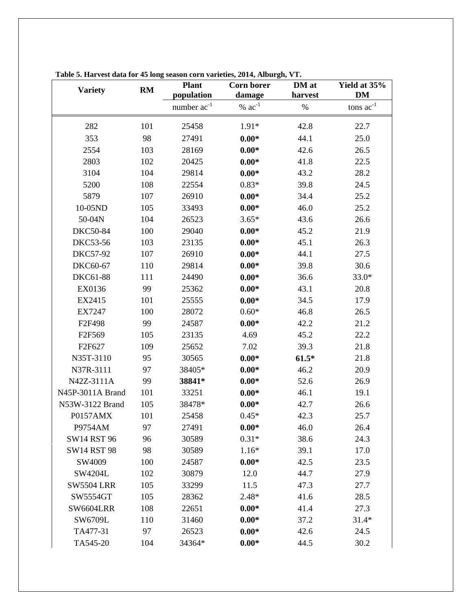| <b>Variety</b>     | RM  | <b>Plant</b><br>population | <b>Corn borer</b><br>damage | DM at<br>harvest | Yield at 35%<br><b>DM</b> |
|--------------------|-----|----------------------------|-----------------------------|------------------|---------------------------|
|                    |     | number $ac^{-1}$           | $% ac^{-1}$                 | $\%$             | tons $ac^{-1}$            |
| 282                | 101 | 25458                      | $1.91*$                     | 42.8             | 22.7                      |
| 353                | 98  | 27491                      | $0.00*$                     | 44.1             | 25.0                      |
| 2554               | 103 | 28169                      | $0.00*$                     | 42.6             | 26.5                      |
| 2803               | 102 | 20425                      | $0.00*$                     | 41.8             | 22.5                      |
| 3104               | 104 | 29814                      | $0.00*$                     | 43.2             | 28.2                      |
| 5200               | 108 | 22554                      | $0.83*$                     | 39.8             | 24.5                      |
| 5879               | 107 | 26910                      | $0.00*$                     | 34.4             | 25.2                      |
| 10-05ND            | 105 | 33493                      | $0.00*$                     | 46.0             | 25.2                      |
| 50-04N             | 104 | 26523                      | $3.65*$                     | 43.6             | 26.6                      |
| <b>DKC50-84</b>    | 100 | 29040                      | $0.00*$                     | 45.2             | 21.9                      |
| DKC53-56           | 103 | 23135                      | $0.00*$                     | 45.1             | 26.3                      |
| <b>DKC57-92</b>    | 107 | 26910                      | $0.00*$                     | 44.1             | 27.5                      |
| DKC60-67           | 110 | 29814                      | $0.00*$                     | 39.8             | 30.6                      |
| DKC61-88           | 111 | 24490                      | $0.00*$                     | 36.6             | $33.0*$                   |
| EX0136             | 99  | 25362                      | $0.00*$                     | 43.1             | 20.8                      |
| EX2415             | 101 | 25555                      | $0.00*$                     | 34.5             | 17.9                      |
| EX7247             | 100 | 28072                      | $0.60*$<br>46.8             |                  | 26.5                      |
| F2F498             | 99  | 24587                      | $0.00*$                     | 42.2             | 21.2                      |
| F2F569             | 105 | 23135                      | 4.69                        | 45.2             | 22.2                      |
| F2F627             | 109 | 25652                      | 7.02                        | 39.3             | 21.8                      |
| N35T-3110          | 95  | 30565                      | $0.00*$                     | $61.5*$          | 21.8                      |
| N37R-3111          | 97  | 38405*                     | $0.00*$                     | 46.2             | 20.9                      |
| N42Z-3111A         | 99  | 38841*                     | $0.00*$                     | 52.6             | 26.9                      |
| N45P-3011A Brand   | 101 | 33251                      | $0.00*$                     | 46.1             | 19.1                      |
| N53W-3122 Brand    | 105 | 38478*                     | $0.00*$                     | 42.7             | 26.6                      |
| P0157AMX           | 101 | 25458                      | $0.45*$                     | 42.3             | 25.7                      |
| P9754AM            | 97  | 27491                      | $0.00*$                     | 46.0             | 26.4                      |
| <b>SW14 RST 96</b> | 96  | 30589                      | $0.31*$                     | 38.6             | 24.3                      |
| <b>SW14 RST 98</b> | 98  | 30589                      | $1.16*$                     | 39.1             | 17.0                      |
| SW4009             | 100 | 24587                      | $0.00*$                     | 42.5             | 23.5                      |
| SW4204L            | 102 | 30879                      | 12.0                        | 44.7             | 27.9                      |
| <b>SW5504 LRR</b>  | 105 | 33299                      | 11.5                        | 47.3             | 27.7                      |
| SW5554GT           | 105 | 28362                      | $2.48*$                     | 41.6             | 28.5                      |
| <b>SW6604LRR</b>   | 108 | 22651                      | $0.00*$                     | 41.4             | 27.3                      |
| SW6709L            | 110 | 31460                      | $0.00*$                     | 37.2             | $31.4*$                   |
| TA477-31           | 97  | 26523                      | $0.00*$                     | 42.6             | 24.5                      |
| TA545-20           | 104 | 34364*                     | $0.00*$                     | 44.5             | 30.2                      |

**Table 5. Harvest data for 45 long season corn varieties, 2014, Alburgh, VT.**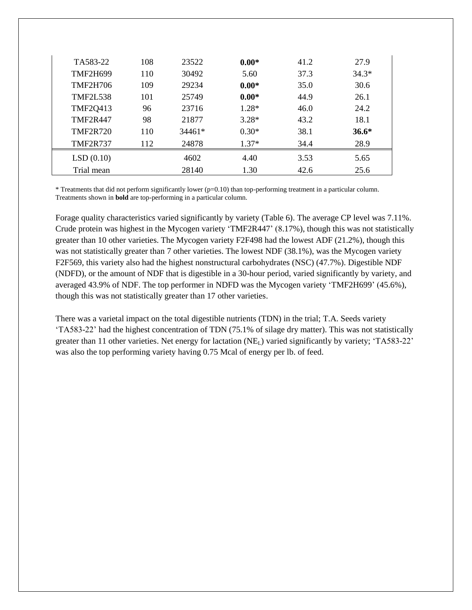| TA583-22        | 108 | 23522    | $0.00*$ | 41.2 | 27.9    |
|-----------------|-----|----------|---------|------|---------|
| <b>TMF2H699</b> | 110 | 30492    | 5.60    | 37.3 | $34.3*$ |
| TMF2H706        | 109 | 29234    | $0.00*$ | 35.0 | 30.6    |
| <b>TMF2L538</b> | 101 | 25749    | $0.00*$ | 44.9 | 26.1    |
| <b>TMF2Q413</b> | 96  | 23716    | $1.28*$ | 46.0 | 24.2    |
| <b>TMF2R447</b> | 98  | 21877    | $3.28*$ | 43.2 | 18.1    |
| <b>TMF2R720</b> | 110 | $34461*$ | $0.30*$ | 38.1 | $36.6*$ |
| <b>TMF2R737</b> | 112 | 24878    | $1.37*$ | 34.4 | 28.9    |
| LSD(0.10)       |     | 4602     | 4.40    | 3.53 | 5.65    |
| Trial mean      |     | 28140    | 1.30    | 42.6 | 25.6    |

\* Treatments that did not perform significantly lower (p=0.10) than top-performing treatment in a particular column. Treatments shown in **bold** are top-performing in a particular column.

Forage quality characteristics varied significantly by variety (Table 6). The average CP level was 7.11%. Crude protein was highest in the Mycogen variety 'TMF2R447' (8.17%), though this was not statistically greater than 10 other varieties. The Mycogen variety F2F498 had the lowest ADF (21.2%), though this was not statistically greater than 7 other varieties. The lowest NDF (38.1%), was the Mycogen variety F2F569, this variety also had the highest nonstructural carbohydrates (NSC) (47.7%). Digestible NDF (NDFD), or the amount of NDF that is digestible in a 30-hour period, varied significantly by variety, and averaged 43.9% of NDF. The top performer in NDFD was the Mycogen variety 'TMF2H699' (45.6%), though this was not statistically greater than 17 other varieties.

There was a varietal impact on the total digestible nutrients (TDN) in the trial; T.A. Seeds variety 'TA583-22' had the highest concentration of TDN (75.1% of silage dry matter). This was not statistically greater than 11 other varieties. Net energy for lactation  $(NE_L)$  varied significantly by variety; 'TA583-22' was also the top performing variety having 0.75 Mcal of energy per lb. of feed.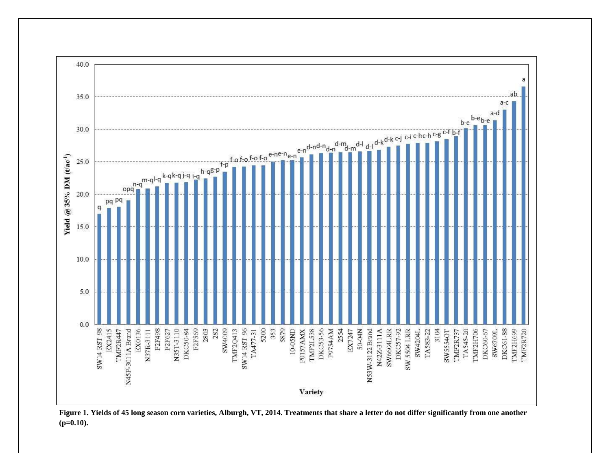

**Figure 1. Yields of 45 long season corn varieties, Alburgh, VT, 2014. Treatments that share a letter do not differ significantly from one another (p=0.10).**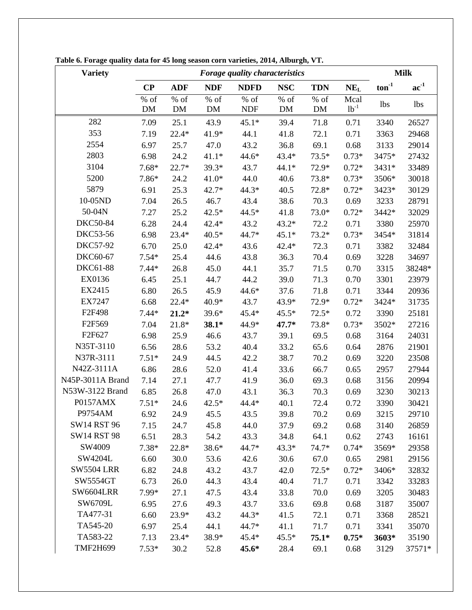| <b>Variety</b>     |            | <b>Forage quality characteristics</b> |            |                      |              |              |                   | <b>Milk</b>                |                           |
|--------------------|------------|---------------------------------------|------------|----------------------|--------------|--------------|-------------------|----------------------------|---------------------------|
|                    | $\bf CP$   | <b>ADF</b>                            | <b>NDF</b> | <b>NDFD</b>          | <b>NSC</b>   | <b>TDN</b>   | $NE_{L}$          | $\mathbf{ton}^{\text{-}1}$ | $\mathbf{ac}^{\text{-}1}$ |
|                    | % of<br>DM | $%$ of<br>DM                          | % of<br>DM | $%$ of<br><b>NDF</b> | $%$ of<br>DM | $%$ of<br>DM | Mcal<br>$1b^{-1}$ | <b>lbs</b>                 | 1bs                       |
| 282                | 7.09       | 25.1                                  | 43.9       | $45.1*$              | 39.4         | 71.8         | 0.71              | 3340                       | 26527                     |
| 353                | 7.19       | $22.4*$                               | 41.9*      | 44.1                 | 41.8         | 72.1         | 0.71              | 3363                       | 29468                     |
| 2554               | 6.97       | 25.7                                  | 47.0       | 43.2                 | 36.8         | 69.1         | 0.68              | 3133                       | 29014                     |
| 2803               | 6.98       | 24.2                                  | $41.1*$    | 44.6*                | 43.4*        | $73.5*$      | $0.73*$           | 3475*                      | 27432                     |
| 3104               | $7.68*$    | $22.7*$                               | 39.3*      | 43.7                 | $44.1*$      | 72.9*        | $0.72*$           | 3431*                      | 33489                     |
| 5200               | 7.86*      | 24.2                                  | $41.0*$    | 44.0                 | 40.6         | 73.8*        | $0.73*$           | 3506*                      | 30018                     |
| 5879               | 6.91       | 25.3                                  | $42.7*$    | 44.3*                | 40.5         | 72.8*        | $0.72*$           | 3423*                      | 30129                     |
| 10-05ND            | 7.04       | 26.5                                  | 46.7       | 43.4                 | 38.6         | 70.3         | 0.69              | 3233                       | 28791                     |
| 50-04N             | 7.27       | 25.2                                  | $42.5*$    | 44.5*                | 41.8         | 73.0*        | $0.72*$           | 3442*                      | 32029                     |
| <b>DKC50-84</b>    | 6.28       | 24.4                                  | 42.4*      | 43.2                 | $43.2*$      | 72.2         | 0.71              | 3380                       | 25970                     |
| <b>DKC53-56</b>    | 6.98       | $23.4*$                               | $40.5*$    | 44.7*                | $45.1*$      | $73.2*$      | $0.73*$           | 3454*                      | 31814                     |
| <b>DKC57-92</b>    | 6.70       | 25.0                                  | 42.4*      | 43.6                 | $42.4*$      | 72.3         | 0.71              | 3382                       | 32484                     |
| DKC60-67           | $7.54*$    | 25.4                                  | 44.6       | 43.8                 | 36.3         | 70.4         | 0.69              | 3228                       | 34697                     |
| DKC61-88           | $7.44*$    | 26.8                                  | 45.0       | 44.1                 | 35.7         | 71.5         | 0.70              | 3315                       | 38248*                    |
| EX0136             | 6.45       | 25.1                                  | 44.7       | 44.2                 | 39.0         | 71.3         | 0.70              | 3301                       | 23979                     |
| EX2415             | 6.80       | 26.5                                  | 45.9       | 44.6*                | 37.6         | 71.8         | 0.71              | 3344                       | 20936                     |
| EX7247             | 6.68       | $22.4*$                               | 40.9*      | 43.7                 | 43.9*        | 72.9*        | $0.72*$           | 3424*                      | 31735                     |
| F2F498             | $7.44*$    | $21.2*$                               | 39.6*      | 45.4*                | $45.5*$      | $72.5*$      | 0.72              | 3390                       | 25181                     |
| F2F569             | 7.04       | 21.8*                                 | 38.1*      | 44.9*                | $47.7*$      | 73.8*        | $0.73*$           | 3502*                      | 27216                     |
| F2F627             | 6.98       | 25.9                                  | 46.6       | 43.7                 | 39.1         | 69.5         | 0.68              | 3164                       | 24031                     |
| N35T-3110          | 6.56       | 28.6                                  | 53.2       | 40.4                 | 33.2         | 65.6         | 0.64              | 2876                       | 21901                     |
| N37R-3111          | $7.51*$    | 24.9                                  | 44.5       | 42.2                 | 38.7         | 70.2         | 0.69              | 3220                       | 23508                     |
| N42Z-3111A         | 6.86       | 28.6                                  | 52.0       | 41.4                 | 33.6         | 66.7         | 0.65              | 2957                       | 27944                     |
| N45P-3011A Brand   | 7.14       | 27.1                                  | 47.7       | 41.9                 | 36.0         | 69.3         | 0.68              | 3156                       | 20994                     |
| N53W-3122 Brand    | 6.85       | 26.8                                  | 47.0       | 43.1                 | 36.3         | 70.3         | 0.69              | 3230                       | 30213                     |
| P0157AMX           | $7.51*$    | 24.6                                  | $42.5*$    | 44.4*                | 40.1         | 72.4         | 0.72              | 3390                       | 30421                     |
| P9754AM            | 6.92       | 24.9                                  | 45.5       | 43.5                 | 39.8         | 70.2         | 0.69              | 3215                       | 29710                     |
| <b>SW14 RST 96</b> | 7.15       | 24.7                                  | 45.8       | 44.0                 | 37.9         | 69.2         | 0.68              | 3140                       | 26859                     |
| <b>SW14 RST 98</b> | 6.51       | 28.3                                  | 54.2       | 43.3                 | 34.8         | 64.1         | 0.62              | 2743                       | 16161                     |
| SW4009             | $7.38*$    | 22.8*                                 | 38.6*      | 44.7*                | $43.3*$      | 74.7*        | $0.74*$           | 3569*                      | 29358                     |
| SW4204L            | 6.60       | 30.0                                  | 53.6       | 42.6                 | 30.6         | 67.0         | 0.65              | 2981                       | 29156                     |
| <b>SW5504 LRR</b>  | 6.82       | 24.8                                  | 43.2       | 43.7                 | 42.0         | $72.5*$      | $0.72*$           | 3406*                      | 32832                     |
| SW5554GT           | 6.73       | 26.0                                  | 44.3       | 43.4                 | 40.4         | 71.7         | 0.71              | 3342                       | 33283                     |
| SW6604LRR          | 7.99*      | 27.1                                  | 47.5       | 43.4                 | 33.8         | 70.0         | 0.69              | 3205                       | 30483                     |
| SW6709L            | 6.95       | 27.6                                  | 49.3       | 43.7                 | 33.6         | 69.8         | 0.68              | 3187                       | 35007                     |
| TA477-31           | 6.60       | 23.9*                                 | 43.2       | 44.3*                | 41.5         | 72.1         | 0.71              | 3368                       | 28521                     |
| TA545-20           | 6.97       | 25.4                                  | 44.1       | 44.7*                | 41.1         | 71.7         | 0.71              | 3341                       | 35070                     |
| TA583-22           | 7.13       | $23.4*$                               | 38.9*      | $45.4*$              | $45.5*$      | $75.1*$      | $0.75*$           | 3603*                      | 35190                     |
| <b>TMF2H699</b>    | $7.53*$    | 30.2                                  | 52.8       | 45.6*                | 28.4         | 69.1         | 0.68              | 3129                       | 37571*                    |

**Table 6. Forage quality data for 45 long season corn varieties, 2014, Alburgh, VT.**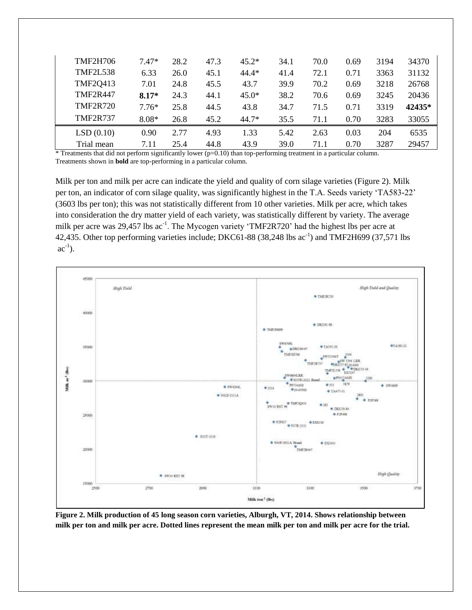| TMF2H706        | $7.47*$ | 28.2 | 47.3 | $45.2*$ | 34.1 | 70.0 | 0.69 | 3194 | 34370  |
|-----------------|---------|------|------|---------|------|------|------|------|--------|
| <b>TMF2L538</b> | 6.33    | 26.0 | 45.1 | $44.4*$ | 41.4 | 72.1 | 0.71 | 3363 | 31132  |
| <b>TMF2Q413</b> | 7.01    | 24.8 | 45.5 | 43.7    | 39.9 | 70.2 | 0.69 | 3218 | 26768  |
| <b>TMF2R447</b> | $8.17*$ | 24.3 | 44.1 | $45.0*$ | 38.2 | 70.6 | 0.69 | 3245 | 20436  |
| <b>TMF2R720</b> | $7.76*$ | 25.8 | 44.5 | 43.8    | 34.7 | 71.5 | 0.71 | 3319 | 42435* |
| <b>TMF2R737</b> | $8.08*$ | 26.8 | 45.2 | $44.7*$ | 35.5 | 71.1 | 0.70 | 3283 | 33055  |
| LSD(0.10)       | 0.90    | 2.77 | 4.93 | 1.33    | 5.42 | 2.63 | 0.03 | 204  | 6535   |
| Trial mean      | 7.11    | 25.4 | 44.8 | 43.9    | 39.0 | 71.1 | 0.70 | 3287 | 29457  |

\* Treatments that did not perform significantly lower (p=0.10) than top-performing treatment in a particular column. Treatments shown in **bold** are top-performing in a particular column.

Milk per ton and milk per acre can indicate the yield and quality of corn silage varieties (Figure 2). Milk per ton, an indicator of corn silage quality, was significantly highest in the T.A. Seeds variety 'TA583-22' (3603 lbs per ton); this was not statistically different from 10 other varieties. Milk per acre, which takes into consideration the dry matter yield of each variety, was statistically different by variety. The average milk per acre was 29,457 lbs ac<sup>-1</sup>. The Mycogen variety 'TMF2R720' had the highest lbs per acre at 42,435. Other top performing varieties include; DKC61-88  $(38,248 \text{ lbs } ac^{-1})$  and TMF2H699  $(37,571 \text{ lbs }$  $ac^{-1}$ ).



**Figure 2. Milk production of 45 long season corn varieties, Alburgh, VT, 2014. Shows relationship between milk per ton and milk per acre. Dotted lines represent the mean milk per ton and milk per acre for the trial.**